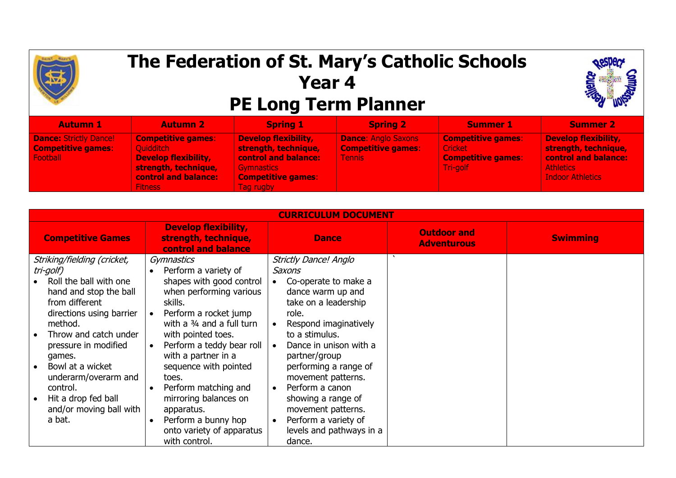

## **The Federation of St. Mary's Catholic Schools Year 4 PE Long Term Planner**



| <b>Autumn 1</b>                                                        | <b>Autumn 2</b>                                                                                                                                       | <b>Spring 1</b>                                                                                                                                   | <b>Spring 2</b>                                                          | <b>Summer 1</b>                                                                      | <b>Summer 2</b>                                                                                                                   |
|------------------------------------------------------------------------|-------------------------------------------------------------------------------------------------------------------------------------------------------|---------------------------------------------------------------------------------------------------------------------------------------------------|--------------------------------------------------------------------------|--------------------------------------------------------------------------------------|-----------------------------------------------------------------------------------------------------------------------------------|
| <b>Dance: Strictly Dance!</b><br><b>Competitive games:</b><br>Football | <b>Competitive games:</b><br><b>Quidditch</b><br><b>Develop flexibility,</b><br>strength, technique,<br><b>control and balance:</b><br><b>Fitness</b> | <b>Develop flexibility,</b><br>strength, technique,<br><b>control and balance:</b><br><b>Gymnastics</b><br><b>Competitive games:</b><br>Tag rugby | <b>Dance: Anglo Saxons</b><br><b>Competitive games:</b><br><b>Tennis</b> | <b>Competitive games:</b><br><b>Cricket</b><br><b>Competitive games:</b><br>Tri-golf | <b>Develop flexibility,</b><br>strength, technique,<br><b>control and balance:</b><br><b>Athletics</b><br><b>Indoor Athletics</b> |

| <b>CURRICULUM DOCUMENT</b>                                                                                                                                                                                                                                                                                                                                                                                                                                                                                                              |                                                                                                                                                                                                                                                           |                                          |                 |  |  |  |  |  |
|-----------------------------------------------------------------------------------------------------------------------------------------------------------------------------------------------------------------------------------------------------------------------------------------------------------------------------------------------------------------------------------------------------------------------------------------------------------------------------------------------------------------------------------------|-----------------------------------------------------------------------------------------------------------------------------------------------------------------------------------------------------------------------------------------------------------|------------------------------------------|-----------------|--|--|--|--|--|
| <b>Develop flexibility,</b><br>strength, technique,<br><b>Competitive Games</b><br>control and balance                                                                                                                                                                                                                                                                                                                                                                                                                                  | <b>Dance</b>                                                                                                                                                                                                                                              | <b>Outdoor and</b><br><b>Adventurous</b> | <b>Swimming</b> |  |  |  |  |  |
| Striking/fielding (cricket,<br>Gymnastics<br>tri-golf)<br>Perform a variety of<br>shapes with good control<br>Roll the ball with one<br>when performing various<br>hand and stop the ball<br>from different<br>skills.<br>directions using barrier<br>Perform a rocket jump<br>with a 3/4 and a full turn<br>method.<br>Throw and catch under<br>with pointed toes.<br>Perform a teddy bear roll<br>pressure in modified<br>with a partner in a<br>games.<br>Bowl at a wicket<br>sequence with pointed<br>underarm/overarm and<br>toes. | <b>Strictly Dance! Anglo</b><br>Saxons<br>Co-operate to make a<br>dance warm up and<br>take on a leadership<br>role.<br>Respond imaginatively<br>to a stimulus.<br>Dance in unison with a<br>partner/group<br>performing a range of<br>movement patterns. |                                          |                 |  |  |  |  |  |
| Perform matching and<br>control.<br>mirroring balances on<br>Hit a drop fed ball<br>and/or moving ball with<br>apparatus.<br>Perform a bunny hop<br>a bat.<br>onto variety of apparatus<br>with control.                                                                                                                                                                                                                                                                                                                                | Perform a canon<br>showing a range of<br>movement patterns.<br>Perform a variety of<br>levels and pathways in a<br>dance.                                                                                                                                 |                                          |                 |  |  |  |  |  |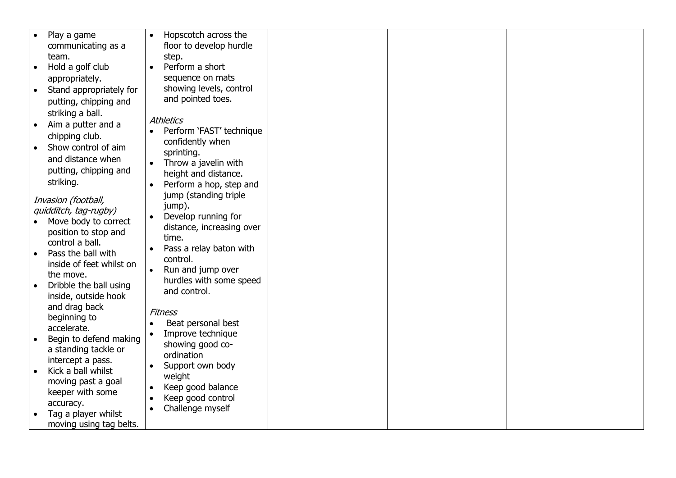| Hopscotch across the<br>Play a game<br>$\bullet$<br>floor to develop hurdle<br>communicating as a<br>team.<br>step.<br>Hold a golf club<br>Perform a short<br>$\bullet$<br>$\bullet$<br>sequence on mats<br>appropriately.<br>showing levels, control<br>Stand appropriately for<br>and pointed toes. |
|-------------------------------------------------------------------------------------------------------------------------------------------------------------------------------------------------------------------------------------------------------------------------------------------------------|
|                                                                                                                                                                                                                                                                                                       |
|                                                                                                                                                                                                                                                                                                       |
|                                                                                                                                                                                                                                                                                                       |
|                                                                                                                                                                                                                                                                                                       |
|                                                                                                                                                                                                                                                                                                       |
|                                                                                                                                                                                                                                                                                                       |
|                                                                                                                                                                                                                                                                                                       |
| putting, chipping and                                                                                                                                                                                                                                                                                 |
| striking a ball.<br><b>Athletics</b>                                                                                                                                                                                                                                                                  |
| Aim a putter and a<br>Perform 'FAST' technique                                                                                                                                                                                                                                                        |
| chipping club.<br>confidently when                                                                                                                                                                                                                                                                    |
| Show control of aim                                                                                                                                                                                                                                                                                   |
| sprinting.<br>and distance when                                                                                                                                                                                                                                                                       |
| Throw a javelin with<br>$\bullet$<br>putting, chipping and                                                                                                                                                                                                                                            |
| height and distance.<br>striking.                                                                                                                                                                                                                                                                     |
| Perform a hop, step and<br>$\bullet$                                                                                                                                                                                                                                                                  |
| jump (standing triple<br>Invasion (football,                                                                                                                                                                                                                                                          |
| jump).<br>quidditch, tag-rugby)                                                                                                                                                                                                                                                                       |
| Develop running for<br>$\bullet$<br>Move body to correct                                                                                                                                                                                                                                              |
| distance, increasing over<br>position to stop and                                                                                                                                                                                                                                                     |
| time.<br>control a ball.                                                                                                                                                                                                                                                                              |
| Pass a relay baton with<br>Pass the ball with                                                                                                                                                                                                                                                         |
| control.<br>inside of feet whilst on                                                                                                                                                                                                                                                                  |
| Run and jump over<br>$\bullet$<br>the move.                                                                                                                                                                                                                                                           |
| hurdles with some speed<br>Dribble the ball using                                                                                                                                                                                                                                                     |
| and control.<br>inside, outside hook                                                                                                                                                                                                                                                                  |
| and drag back                                                                                                                                                                                                                                                                                         |
| <b>Fitness</b><br>beginning to                                                                                                                                                                                                                                                                        |
| Beat personal best<br>accelerate.                                                                                                                                                                                                                                                                     |
| Improve technique<br>Begin to defend making                                                                                                                                                                                                                                                           |
| showing good co-<br>a standing tackle or                                                                                                                                                                                                                                                              |
| ordination<br>intercept a pass.                                                                                                                                                                                                                                                                       |
| Support own body<br>$\bullet$<br>Kick a ball whilst                                                                                                                                                                                                                                                   |
| weight<br>moving past a goal                                                                                                                                                                                                                                                                          |
| Keep good balance<br>$\bullet$<br>keeper with some                                                                                                                                                                                                                                                    |
| Keep good control<br>accuracy.                                                                                                                                                                                                                                                                        |
| Challenge myself<br>Tag a player whilst                                                                                                                                                                                                                                                               |
| moving using tag belts.                                                                                                                                                                                                                                                                               |